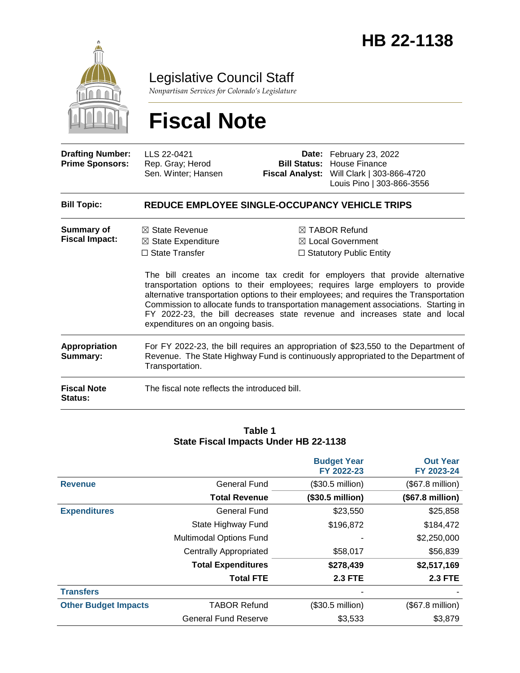

Legislative Council Staff

*Nonpartisan Services for Colorado's Legislature*

# **Fiscal Note**

| <b>Drafting Number:</b><br><b>Prime Sponsors:</b> | LLS 22-0421<br>Rep. Gray; Herod<br>Sen. Winter; Hansen                                                                                                                                                                                                                                                                                                                                                                                                                                                                               |  | <b>Date:</b> February 23, 2022<br><b>Bill Status: House Finance</b><br>Fiscal Analyst: Will Clark   303-866-4720<br>Louis Pino   303-866-3556                            |  |  |  |
|---------------------------------------------------|--------------------------------------------------------------------------------------------------------------------------------------------------------------------------------------------------------------------------------------------------------------------------------------------------------------------------------------------------------------------------------------------------------------------------------------------------------------------------------------------------------------------------------------|--|--------------------------------------------------------------------------------------------------------------------------------------------------------------------------|--|--|--|
| <b>Bill Topic:</b>                                | REDUCE EMPLOYEE SINGLE-OCCUPANCY VEHICLE TRIPS                                                                                                                                                                                                                                                                                                                                                                                                                                                                                       |  |                                                                                                                                                                          |  |  |  |
| Summary of<br><b>Fiscal Impact:</b>               | $\boxtimes$ State Revenue<br>$\boxtimes$ TABOR Refund<br>$\boxtimes$ Local Government<br>$\boxtimes$ State Expenditure<br>$\Box$ State Transfer<br>$\Box$ Statutory Public Entity<br>The bill creates an income tax credit for employers that provide alternative<br>transportation options to their employees; requires large employers to provide<br>alternative transportation options to their employees; and requires the Transportation<br>Commission to allocate funds to transportation management associations. Starting in |  |                                                                                                                                                                          |  |  |  |
|                                                   | FY 2022-23, the bill decreases state revenue and increases state and local<br>expenditures on an ongoing basis.                                                                                                                                                                                                                                                                                                                                                                                                                      |  |                                                                                                                                                                          |  |  |  |
| Appropriation<br>Summary:                         | Transportation.                                                                                                                                                                                                                                                                                                                                                                                                                                                                                                                      |  | For FY 2022-23, the bill requires an appropriation of \$23,550 to the Department of<br>Revenue. The State Highway Fund is continuously appropriated to the Department of |  |  |  |
| <b>Fiscal Note</b><br><b>Status:</b>              | The fiscal note reflects the introduced bill.                                                                                                                                                                                                                                                                                                                                                                                                                                                                                        |  |                                                                                                                                                                          |  |  |  |

#### **Table 1 State Fiscal Impacts Under HB 22-1138**

|                             |                               | <b>Budget Year</b><br>FY 2022-23 | <b>Out Year</b><br>FY 2023-24 |
|-----------------------------|-------------------------------|----------------------------------|-------------------------------|
| <b>Revenue</b>              | General Fund                  | $($30.5 \text{ million})$        | (\$67.8 million)              |
|                             | <b>Total Revenue</b>          | (\$30.5 million)                 | (\$67.8 million)              |
| <b>Expenditures</b>         | <b>General Fund</b>           | \$23,550                         | \$25,858                      |
|                             | State Highway Fund            | \$196,872                        | \$184,472                     |
|                             | Multimodal Options Fund       |                                  | \$2,250,000                   |
|                             | <b>Centrally Appropriated</b> | \$58,017                         | \$56,839                      |
|                             | <b>Total Expenditures</b>     | \$278,439                        | \$2,517,169                   |
|                             | <b>Total FTE</b>              | <b>2.3 FTE</b>                   | <b>2.3 FTE</b>                |
| <b>Transfers</b>            |                               |                                  |                               |
| <b>Other Budget Impacts</b> | <b>TABOR Refund</b>           | $($30.5 \text{ million})$        | (\$67.8 million)              |
|                             | <b>General Fund Reserve</b>   | \$3,533                          | \$3,879                       |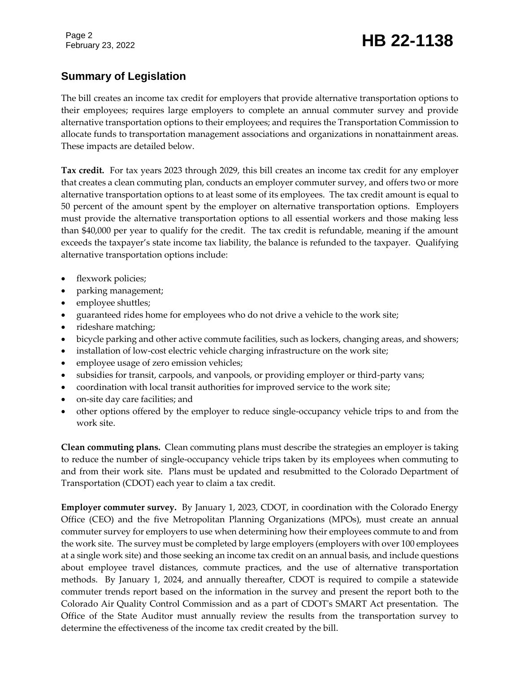## February 23, 2022 **HB 22-1138**

## **Summary of Legislation**

The bill creates an income tax credit for employers that provide alternative transportation options to their employees; requires large employers to complete an annual commuter survey and provide alternative transportation options to their employees; and requires the Transportation Commission to allocate funds to transportation management associations and organizations in nonattainment areas. These impacts are detailed below.

**Tax credit.** For tax years 2023 through 2029, this bill creates an income tax credit for any employer that creates a clean commuting plan, conducts an employer commuter survey, and offers two or more alternative transportation options to at least some of its employees. The tax credit amount is equal to 50 percent of the amount spent by the employer on alternative transportation options. Employers must provide the alternative transportation options to all essential workers and those making less than \$40,000 per year to qualify for the credit. The tax credit is refundable, meaning if the amount exceeds the taxpayer's state income tax liability, the balance is refunded to the taxpayer. Qualifying alternative transportation options include:

- flexwork policies;
- parking management;
- employee shuttles;
- guaranteed rides home for employees who do not drive a vehicle to the work site;
- rideshare matching;
- bicycle parking and other active commute facilities, such as lockers, changing areas, and showers;
- installation of low-cost electric vehicle charging infrastructure on the work site;
- employee usage of zero emission vehicles;
- subsidies for transit, carpools, and vanpools, or providing employer or third-party vans;
- coordination with local transit authorities for improved service to the work site;
- on-site day care facilities; and
- other options offered by the employer to reduce single-occupancy vehicle trips to and from the work site.

**Clean commuting plans.** Clean commuting plans must describe the strategies an employer is taking to reduce the number of single-occupancy vehicle trips taken by its employees when commuting to and from their work site. Plans must be updated and resubmitted to the Colorado Department of Transportation (CDOT) each year to claim a tax credit.

**Employer commuter survey.** By January 1, 2023, CDOT, in coordination with the Colorado Energy Office (CEO) and the five Metropolitan Planning Organizations (MPOs), must create an annual commuter survey for employers to use when determining how their employees commute to and from the work site. The survey must be completed by large employers (employers with over 100 employees at a single work site) and those seeking an income tax credit on an annual basis, and include questions about employee travel distances, commute practices, and the use of alternative transportation methods. By January 1, 2024, and annually thereafter, CDOT is required to compile a statewide commuter trends report based on the information in the survey and present the report both to the Colorado Air Quality Control Commission and as a part of CDOT's SMART Act presentation. The Office of the State Auditor must annually review the results from the transportation survey to determine the effectiveness of the income tax credit created by the bill.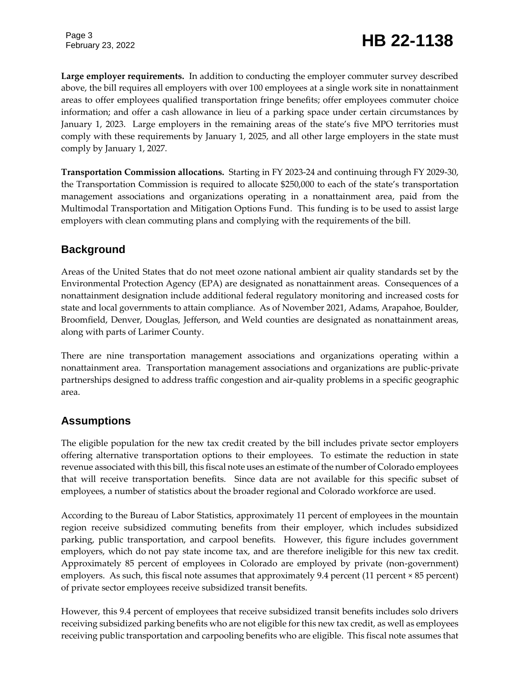## February 23, 2022 **HB 22-1138**

**Large employer requirements.** In addition to conducting the employer commuter survey described above, the bill requires all employers with over 100 employees at a single work site in nonattainment areas to offer employees qualified transportation fringe benefits; offer employees commuter choice information; and offer a cash allowance in lieu of a parking space under certain circumstances by January 1, 2023. Large employers in the remaining areas of the state's five MPO territories must comply with these requirements by January 1, 2025, and all other large employers in the state must comply by January 1, 2027.

**Transportation Commission allocations.** Starting in FY 2023-24 and continuing through FY 2029-30, the Transportation Commission is required to allocate \$250,000 to each of the state's transportation management associations and organizations operating in a nonattainment area, paid from the Multimodal Transportation and Mitigation Options Fund. This funding is to be used to assist large employers with clean commuting plans and complying with the requirements of the bill.

### **Background**

Areas of the United States that do not meet ozone national ambient air quality standards set by the Environmental Protection Agency (EPA) are designated as nonattainment areas. Consequences of a nonattainment designation include additional federal regulatory monitoring and increased costs for state and local governments to attain compliance. As of November 2021, Adams, Arapahoe, Boulder, Broomfield, Denver, Douglas, Jefferson, and Weld counties are designated as nonattainment areas, along with parts of Larimer County.

There are nine transportation management associations and organizations operating within a nonattainment area. Transportation management associations and organizations are public-private partnerships designed to address traffic congestion and air-quality problems in a specific geographic area.

#### **Assumptions**

The eligible population for the new tax credit created by the bill includes private sector employers offering alternative transportation options to their employees. To estimate the reduction in state revenue associated with this bill, this fiscal note uses an estimate of the number of Colorado employees that will receive transportation benefits. Since data are not available for this specific subset of employees, a number of statistics about the broader regional and Colorado workforce are used.

According to the Bureau of Labor Statistics, approximately 11 percent of employees in the mountain region receive subsidized commuting benefits from their employer, which includes subsidized parking, public transportation, and carpool benefits. However, this figure includes government employers, which do not pay state income tax, and are therefore ineligible for this new tax credit. Approximately 85 percent of employees in Colorado are employed by private (non-government) employers. As such, this fiscal note assumes that approximately 9.4 percent (11 percent × 85 percent) of private sector employees receive subsidized transit benefits.

However, this 9.4 percent of employees that receive subsidized transit benefits includes solo drivers receiving subsidized parking benefits who are not eligible for this new tax credit, as well as employees receiving public transportation and carpooling benefits who are eligible. This fiscal note assumes that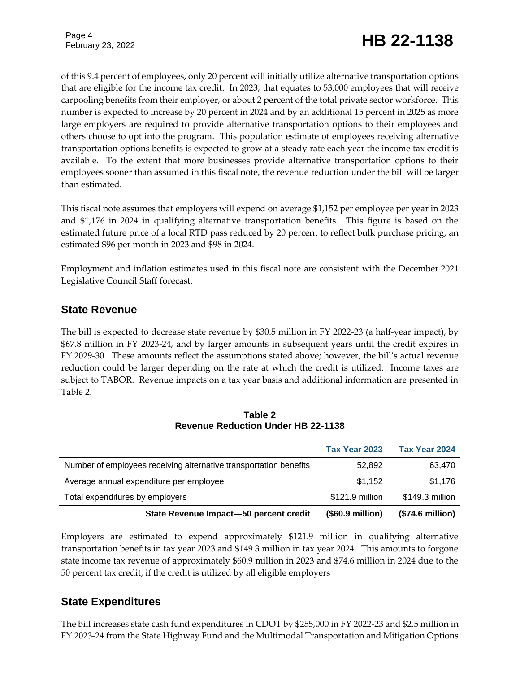## February 23, 2022 **HB 22-1138**

of this 9.4 percent of employees, only 20 percent will initially utilize alternative transportation options that are eligible for the income tax credit. In 2023, that equates to 53,000 employees that will receive carpooling benefits from their employer, or about 2 percent of the total private sector workforce. This number is expected to increase by 20 percent in 2024 and by an additional 15 percent in 2025 as more large employers are required to provide alternative transportation options to their employees and others choose to opt into the program. This population estimate of employees receiving alternative transportation options benefits is expected to grow at a steady rate each year the income tax credit is available. To the extent that more businesses provide alternative transportation options to their employees sooner than assumed in this fiscal note, the revenue reduction under the bill will be larger than estimated.

This fiscal note assumes that employers will expend on average \$1,152 per employee per year in 2023 and \$1,176 in 2024 in qualifying alternative transportation benefits. This figure is based on the estimated future price of a local RTD pass reduced by 20 percent to reflect bulk purchase pricing, an estimated \$96 per month in 2023 and \$98 in 2024.

Employment and inflation estimates used in this fiscal note are consistent with the December 2021 Legislative Council Staff forecast.

## **State Revenue**

The bill is expected to decrease state revenue by \$30.5 million in FY 2022-23 (a half-year impact), by \$67.8 million in FY 2023-24, and by larger amounts in subsequent years until the credit expires in FY 2029-30. These amounts reflect the assumptions stated above; however, the bill's actual revenue reduction could be larger depending on the rate at which the credit is utilized. Income taxes are subject to TABOR. Revenue impacts on a tax year basis and additional information are presented in Table 2.

|                 | (\$74.6 million) |
|-----------------|------------------|
| \$121.9 million | \$149.3 million  |
| \$1,152         | \$1,176          |
| 52,892          | 63,470           |
| Tax Year 2023   | Tax Year 2024    |
|                 | (\$60.9 million) |

#### **Table 2 Revenue Reduction Under HB 22-1138**

Employers are estimated to expend approximately \$121.9 million in qualifying alternative transportation benefits in tax year 2023 and \$149.3 million in tax year 2024. This amounts to forgone state income tax revenue of approximately \$60.9 million in 2023 and \$74.6 million in 2024 due to the 50 percent tax credit, if the credit is utilized by all eligible employers

## **State Expenditures**

The bill increases state cash fund expenditures in CDOT by \$255,000 in FY 2022-23 and \$2.5 million in FY 2023-24 from the State Highway Fund and the Multimodal Transportation and Mitigation Options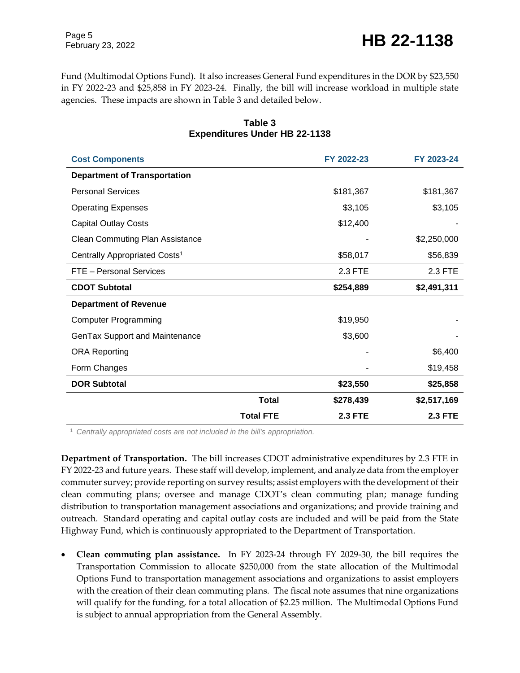February 23, 2022 **HB 22-1138** 

Page 5

Fund (Multimodal Options Fund). It also increases General Fund expenditures in the DOR by \$23,550 in FY 2022-23 and \$25,858 in FY 2023-24. Finally, the bill will increase workload in multiple state agencies. These impacts are shown in Table 3 and detailed below.

| <b>Cost Components</b>                    |                  | FY 2022-23     | FY 2023-24     |
|-------------------------------------------|------------------|----------------|----------------|
| <b>Department of Transportation</b>       |                  |                |                |
| <b>Personal Services</b>                  |                  | \$181,367      | \$181,367      |
| <b>Operating Expenses</b>                 |                  | \$3,105        | \$3,105        |
| <b>Capital Outlay Costs</b>               |                  | \$12,400       |                |
| <b>Clean Commuting Plan Assistance</b>    |                  |                | \$2,250,000    |
| Centrally Appropriated Costs <sup>1</sup> |                  | \$58,017       | \$56,839       |
| FTE - Personal Services                   |                  | 2.3 FTE        | 2.3 FTE        |
| <b>CDOT Subtotal</b>                      |                  | \$254,889      | \$2,491,311    |
| <b>Department of Revenue</b>              |                  |                |                |
| <b>Computer Programming</b>               |                  | \$19,950       |                |
| GenTax Support and Maintenance            |                  | \$3,600        |                |
| <b>ORA Reporting</b>                      |                  |                | \$6,400        |
| Form Changes                              |                  |                | \$19,458       |
| <b>DOR Subtotal</b>                       |                  | \$23,550       | \$25,858       |
|                                           | <b>Total</b>     | \$278,439      | \$2,517,169    |
|                                           | <b>Total FTE</b> | <b>2.3 FTE</b> | <b>2.3 FTE</b> |

#### **Table 3 Expenditures Under HB 22-1138**

<sup>1</sup> *Centrally appropriated costs are not included in the bill's appropriation.*

**Department of Transportation.** The bill increases CDOT administrative expenditures by 2.3 FTE in FY 2022-23 and future years. These staff will develop, implement, and analyze data from the employer commuter survey; provide reporting on survey results; assist employers with the development of their clean commuting plans; oversee and manage CDOT's clean commuting plan; manage funding distribution to transportation management associations and organizations; and provide training and outreach. Standard operating and capital outlay costs are included and will be paid from the State Highway Fund, which is continuously appropriated to the Department of Transportation.

 **Clean commuting plan assistance.** In FY 2023-24 through FY 2029-30, the bill requires the Transportation Commission to allocate \$250,000 from the state allocation of the Multimodal Options Fund to transportation management associations and organizations to assist employers with the creation of their clean commuting plans. The fiscal note assumes that nine organizations will qualify for the funding, for a total allocation of \$2.25 million. The Multimodal Options Fund is subject to annual appropriation from the General Assembly.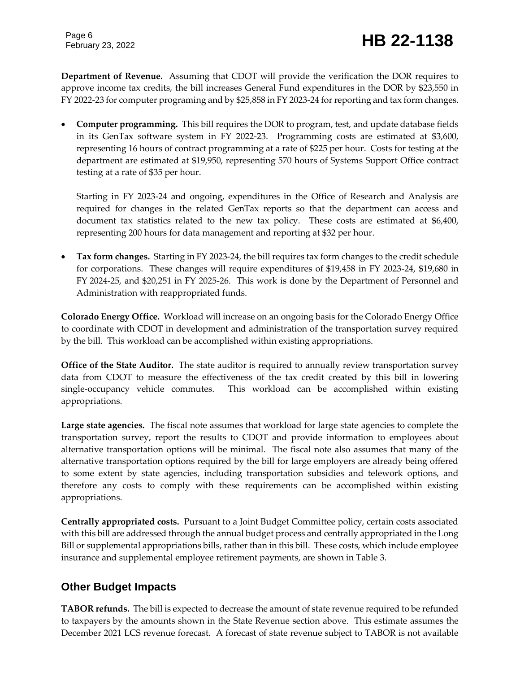**Department of Revenue.** Assuming that CDOT will provide the verification the DOR requires to approve income tax credits, the bill increases General Fund expenditures in the DOR by \$23,550 in FY 2022-23 for computer programing and by \$25,858 in FY 2023-24 for reporting and tax form changes.

 **Computer programming.** This bill requires the DOR to program, test, and update database fields in its GenTax software system in FY 2022-23. Programming costs are estimated at \$3,600, representing 16 hours of contract programming at a rate of \$225 per hour. Costs for testing at the department are estimated at \$19,950, representing 570 hours of Systems Support Office contract testing at a rate of \$35 per hour.

Starting in FY 2023-24 and ongoing, expenditures in the Office of Research and Analysis are required for changes in the related GenTax reports so that the department can access and document tax statistics related to the new tax policy. These costs are estimated at \$6,400, representing 200 hours for data management and reporting at \$32 per hour.

 **Tax form changes.** Starting in FY 2023-24, the bill requires tax form changes to the credit schedule for corporations. These changes will require expenditures of \$19,458 in FY 2023-24, \$19,680 in FY 2024-25, and \$20,251 in FY 2025-26. This work is done by the Department of Personnel and Administration with reappropriated funds.

**Colorado Energy Office.** Workload will increase on an ongoing basis for the Colorado Energy Office to coordinate with CDOT in development and administration of the transportation survey required by the bill. This workload can be accomplished within existing appropriations.

**Office of the State Auditor.** The state auditor is required to annually review transportation survey data from CDOT to measure the effectiveness of the tax credit created by this bill in lowering single-occupancy vehicle commutes. This workload can be accomplished within existing appropriations.

**Large state agencies.** The fiscal note assumes that workload for large state agencies to complete the transportation survey, report the results to CDOT and provide information to employees about alternative transportation options will be minimal. The fiscal note also assumes that many of the alternative transportation options required by the bill for large employers are already being offered to some extent by state agencies, including transportation subsidies and telework options, and therefore any costs to comply with these requirements can be accomplished within existing appropriations.

**Centrally appropriated costs.** Pursuant to a Joint Budget Committee policy, certain costs associated with this bill are addressed through the annual budget process and centrally appropriated in the Long Bill or supplemental appropriations bills, rather than in this bill. These costs, which include employee insurance and supplemental employee retirement payments, are shown in Table 3.

## **Other Budget Impacts**

**TABOR refunds.** The bill is expected to decrease the amount of state revenue required to be refunded to taxpayers by the amounts shown in the State Revenue section above. This estimate assumes the December 2021 LCS revenue forecast. A forecast of state revenue subject to TABOR is not available